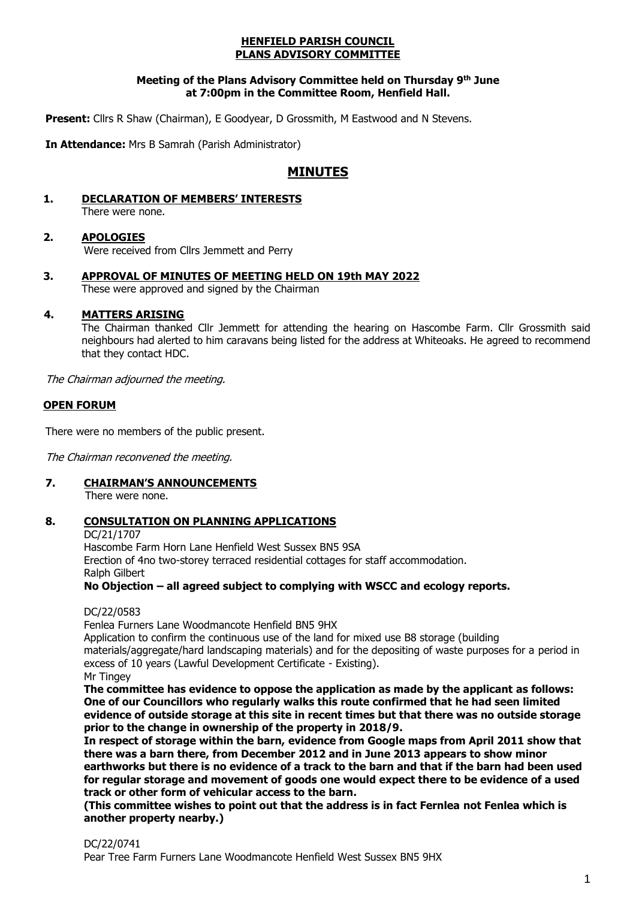#### **HENFIELD PARISH COUNCIL PLANS ADVISORY COMMITTEE**

#### **Meeting of the Plans Advisory Committee held on Thursday 9 th June at 7:00pm in the Committee Room, Henfield Hall.**

Present: Cllrs R Shaw (Chairman), E Goodyear, D Grossmith, M Eastwood and N Stevens.

**In Attendance:** Mrs B Samrah (Parish Administrator)

# **MINUTES**

**1. DECLARATION OF MEMBERS' INTERESTS** There were none.

# **2. APOLOGIES**

Were received from Cllrs Jemmett and Perry

**3. APPROVAL OF MINUTES OF MEETING HELD ON 19th MAY 2022** These were approved and signed by the Chairman

### **4. MATTERS ARISING**

The Chairman thanked Cllr Jemmett for attending the hearing on Hascombe Farm. Cllr Grossmith said neighbours had alerted to him caravans being listed for the address at Whiteoaks. He agreed to recommend that they contact HDC.

The Chairman adjourned the meeting.

### **OPEN FORUM**

There were no members of the public present.

The Chairman reconvened the meeting.

**7. CHAIRMAN'S ANNOUNCEMENTS**

There were none.

# **8. CONSULTATION ON PLANNING APPLICATIONS**

DC/21/1707 Hascombe Farm Horn Lane Henfield West Sussex BN5 9SA Erection of 4no two-storey terraced residential cottages for staff accommodation. Ralph Gilbert

**No Objection – all agreed subject to complying with WSCC and ecology reports.**

DC/22/0583

Fenlea Furners Lane Woodmancote Henfield BN5 9HX

Application to confirm the continuous use of the land for mixed use B8 storage (building materials/aggregate/hard landscaping materials) and for the depositing of waste purposes for a period in excess of 10 years (Lawful Development Certificate - Existing). Mr Tingey

**The committee has evidence to oppose the application as made by the applicant as follows: One of our Councillors who regularly walks this route confirmed that he had seen limited evidence of outside storage at this site in recent times but that there was no outside storage prior to the change in ownership of the property in 2018/9.** 

**In respect of storage within the barn, evidence from Google maps from April 2011 show that there was a barn there, from December 2012 and in June 2013 appears to show minor earthworks but there is no evidence of a track to the barn and that if the barn had been used for regular storage and movement of goods one would expect there to be evidence of a used track or other form of vehicular access to the barn.**

**(This committee wishes to point out that the address is in fact Fernlea not Fenlea which is another property nearby.)**